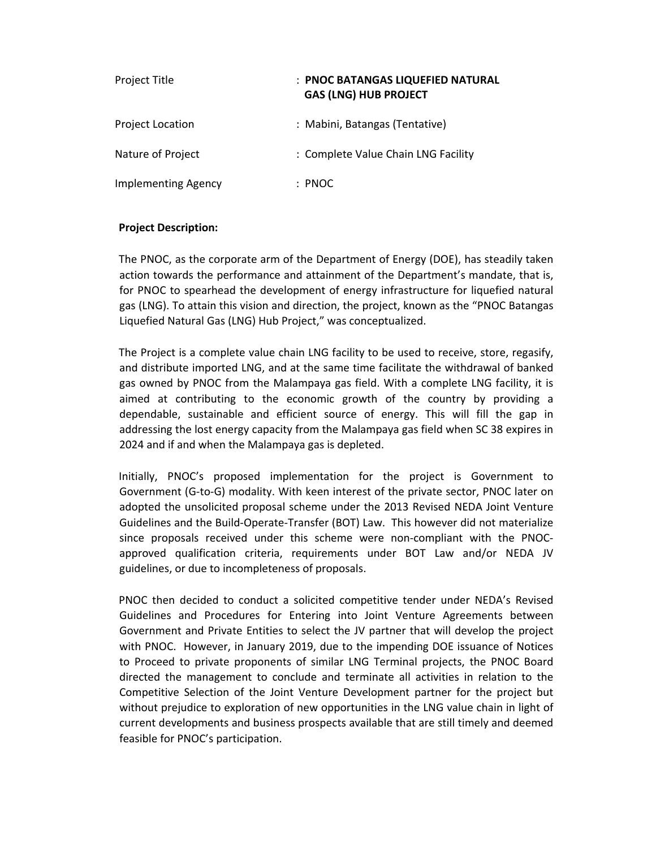| <b>Project Title</b>       | : PNOC BATANGAS LIQUEFIED NATURAL<br><b>GAS (LNG) HUB PROJECT</b> |
|----------------------------|-------------------------------------------------------------------|
| <b>Project Location</b>    | : Mabini, Batangas (Tentative)                                    |
| Nature of Project          | : Complete Value Chain LNG Facility                               |
| <b>Implementing Agency</b> | : PNOC                                                            |

## **Project Description:**

The PNOC, as the corporate arm of the Department of Energy (DOE), has steadily taken action towards the performance and attainment of the Department's mandate, that is, for PNOC to spearhead the development of energy infrastructure for liquefied natural gas (LNG). To attain this vision and direction, the project, known as the "PNOC Batangas Liquefied Natural Gas (LNG) Hub Project," was conceptualized.

The Project is a complete value chain LNG facility to be used to receive, store, regasify, and distribute imported LNG, and at the same time facilitate the withdrawal of banked gas owned by PNOC from the Malampaya gas field. With a complete LNG facility, it is aimed at contributing to the economic growth of the country by providing a dependable, sustainable and efficient source of energy. This will fill the gap in addressing the lost energy capacity from the Malampaya gas field when SC 38 expires in 2024 and if and when the Malampaya gas is depleted.

Initially, PNOC's proposed implementation for the project is Government to Government (G‐to‐G) modality. With keen interest of the private sector, PNOC later on adopted the unsolicited proposal scheme under the 2013 Revised NEDA Joint Venture Guidelines and the Build‐Operate‐Transfer (BOT) Law. This however did not materialize since proposals received under this scheme were non-compliant with the PNOCapproved qualification criteria, requirements under BOT Law and/or NEDA JV guidelines, or due to incompleteness of proposals.

PNOC then decided to conduct a solicited competitive tender under NEDA's Revised Guidelines and Procedures for Entering into Joint Venture Agreements between Government and Private Entities to select the JV partner that will develop the project with PNOC. However, in January 2019, due to the impending DOE issuance of Notices to Proceed to private proponents of similar LNG Terminal projects, the PNOC Board directed the management to conclude and terminate all activities in relation to the Competitive Selection of the Joint Venture Development partner for the project but without prejudice to exploration of new opportunities in the LNG value chain in light of current developments and business prospects available that are still timely and deemed feasible for PNOC's participation.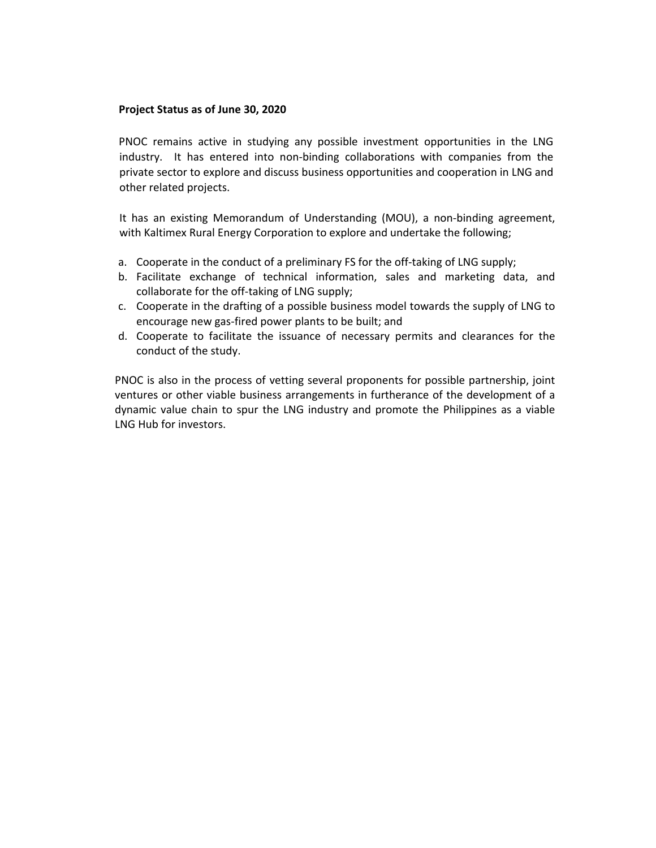## **Project Status as of June 30, 2020**

PNOC remains active in studying any possible investment opportunities in the LNG industry. It has entered into non-binding collaborations with companies from the private sector to explore and discuss business opportunities and cooperation in LNG and other related projects.

It has an existing Memorandum of Understanding (MOU), a non-binding agreement, with Kaltimex Rural Energy Corporation to explore and undertake the following;

- a. Cooperate in the conduct of a preliminary FS for the off-taking of LNG supply;
- b. Facilitate exchange of technical information, sales and marketing data, and collaborate for the off-taking of LNG supply;
- c. Cooperate in the drafting of a possible business model towards the supply of LNG to encourage new gas‐fired power plants to be built; and
- d. Cooperate to facilitate the issuance of necessary permits and clearances for the conduct of the study.

PNOC is also in the process of vetting several proponents for possible partnership, joint ventures or other viable business arrangements in furtherance of the development of a dynamic value chain to spur the LNG industry and promote the Philippines as a viable LNG Hub for investors.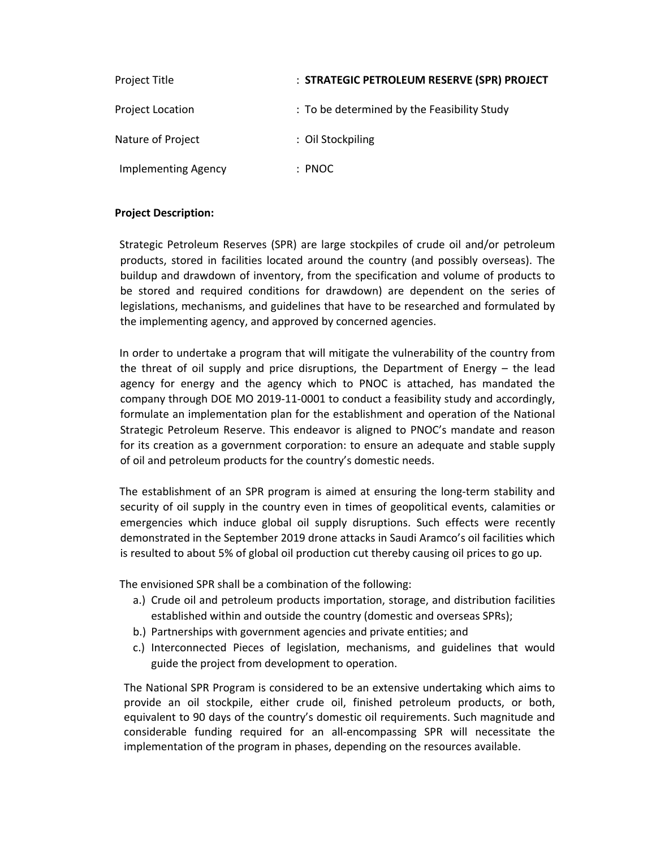| Project Title              | : STRATEGIC PETROLEUM RESERVE (SPR) PROJECT |
|----------------------------|---------------------------------------------|
| <b>Project Location</b>    | : To be determined by the Feasibility Study |
| Nature of Project          | : Oil Stockpiling                           |
| <b>Implementing Agency</b> | : PNOC                                      |

## **Project Description:**

Strategic Petroleum Reserves (SPR) are large stockpiles of crude oil and/or petroleum products, stored in facilities located around the country (and possibly overseas). The buildup and drawdown of inventory, from the specification and volume of products to be stored and required conditions for drawdown) are dependent on the series of legislations, mechanisms, and guidelines that have to be researched and formulated by the implementing agency, and approved by concerned agencies.

In order to undertake a program that will mitigate the vulnerability of the country from the threat of oil supply and price disruptions, the Department of Energy  $-$  the lead agency for energy and the agency which to PNOC is attached, has mandated the company through DOE MO 2019‐11‐0001 to conduct a feasibility study and accordingly, formulate an implementation plan for the establishment and operation of the National Strategic Petroleum Reserve. This endeavor is aligned to PNOC's mandate and reason for its creation as a government corporation: to ensure an adequate and stable supply of oil and petroleum products for the country's domestic needs.

The establishment of an SPR program is aimed at ensuring the long-term stability and security of oil supply in the country even in times of geopolitical events, calamities or emergencies which induce global oil supply disruptions. Such effects were recently demonstrated in the September 2019 drone attacks in Saudi Aramco's oil facilities which is resulted to about 5% of global oil production cut thereby causing oil prices to go up.

The envisioned SPR shall be a combination of the following:

- a.) Crude oil and petroleum products importation, storage, and distribution facilities established within and outside the country (domestic and overseas SPRs);
- b.) Partnerships with government agencies and private entities; and
- c.) Interconnected Pieces of legislation, mechanisms, and guidelines that would guide the project from development to operation.

The National SPR Program is considered to be an extensive undertaking which aims to provide an oil stockpile, either crude oil, finished petroleum products, or both, equivalent to 90 days of the country's domestic oil requirements. Such magnitude and considerable funding required for an all‐encompassing SPR will necessitate the implementation of the program in phases, depending on the resources available.